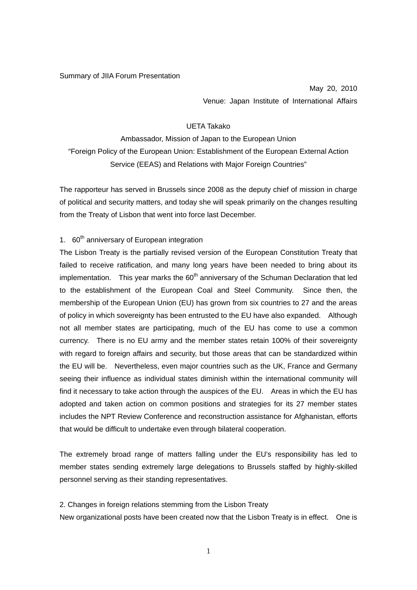Summary of JIIA Forum Presentation

May 20, 2010 Venue: Japan Institute of International Affairs

## UETA Takako

Ambassador, Mission of Japan to the European Union "Foreign Policy of the European Union: Establishment of the European External Action Service (EEAS) and Relations with Major Foreign Countries"

The rapporteur has served in Brussels since 2008 as the deputy chief of mission in charge of political and security matters, and today she will speak primarily on the changes resulting from the Treaty of Lisbon that went into force last December.

## 1. 60<sup>th</sup> anniversary of European integration

The Lisbon Treaty is the partially revised version of the European Constitution Treaty that failed to receive ratification, and many long years have been needed to bring about its implementation. This year marks the  $60<sup>th</sup>$  anniversary of the Schuman Declaration that led to the establishment of the European Coal and Steel Community. Since then, the membership of the European Union (EU) has grown from six countries to 27 and the areas of policy in which sovereignty has been entrusted to the EU have also expanded. Although not all member states are participating, much of the EU has come to use a common currency. There is no EU army and the member states retain 100% of their sovereignty with regard to foreign affairs and security, but those areas that can be standardized within the EU will be. Nevertheless, even major countries such as the UK, France and Germany seeing their influence as individual states diminish within the international community will find it necessary to take action through the auspices of the EU. Areas in which the EU has adopted and taken action on common positions and strategies for its 27 member states includes the NPT Review Conference and reconstruction assistance for Afghanistan, efforts that would be difficult to undertake even through bilateral cooperation.

The extremely broad range of matters falling under the EU's responsibility has led to member states sending extremely large delegations to Brussels staffed by highly-skilled personnel serving as their standing representatives.

2. Changes in foreign relations stemming from the Lisbon Treaty

New organizational posts have been created now that the Lisbon Treaty is in effect. One is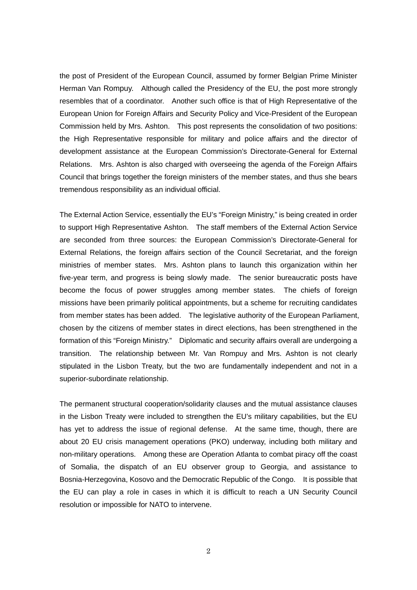the post of President of the European Council, assumed by former Belgian Prime Minister Herman Van Rompuy. Although called the Presidency of the EU, the post more strongly resembles that of a coordinator. Another such office is that of High Representative of the European Union for Foreign Affairs and Security Policy and Vice-President of the European Commission held by Mrs. Ashton. This post represents the consolidation of two positions: the High Representative responsible for military and police affairs and the director of development assistance at the European Commission's Directorate-General for External Relations. Mrs. Ashton is also charged with overseeing the agenda of the Foreign Affairs Council that brings together the foreign ministers of the member states, and thus she bears tremendous responsibility as an individual official.

The External Action Service, essentially the EU's "Foreign Ministry," is being created in order to support High Representative Ashton. The staff members of the External Action Service are seconded from three sources: the European Commission's Directorate-General for External Relations, the foreign affairs section of the Council Secretariat, and the foreign ministries of member states. Mrs. Ashton plans to launch this organization within her five-year term, and progress is being slowly made. The senior bureaucratic posts have become the focus of power struggles among member states. The chiefs of foreign missions have been primarily political appointments, but a scheme for recruiting candidates from member states has been added. The legislative authority of the European Parliament, chosen by the citizens of member states in direct elections, has been strengthened in the formation of this "Foreign Ministry." Diplomatic and security affairs overall are undergoing a transition. The relationship between Mr. Van Rompuy and Mrs. Ashton is not clearly stipulated in the Lisbon Treaty, but the two are fundamentally independent and not in a superior-subordinate relationship.

The permanent structural cooperation/solidarity clauses and the mutual assistance clauses in the Lisbon Treaty were included to strengthen the EU's military capabilities, but the EU has yet to address the issue of regional defense. At the same time, though, there are about 20 EU crisis management operations (PKO) underway, including both military and non-military operations. Among these are Operation Atlanta to combat piracy off the coast of Somalia, the dispatch of an EU observer group to Georgia, and assistance to Bosnia-Herzegovina, Kosovo and the Democratic Republic of the Congo. It is possible that the EU can play a role in cases in which it is difficult to reach a UN Security Council resolution or impossible for NATO to intervene.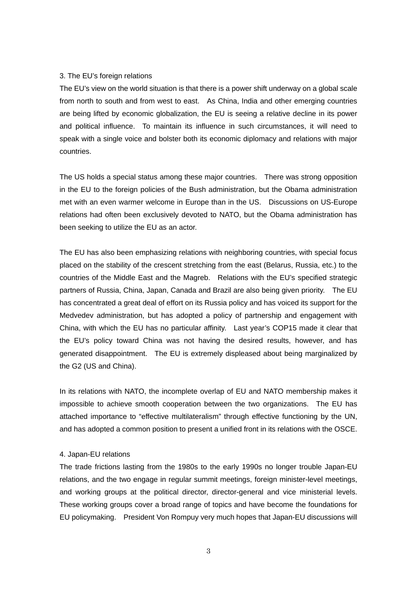## 3. The EU's foreign relations

The EU's view on the world situation is that there is a power shift underway on a global scale from north to south and from west to east. As China, India and other emerging countries are being lifted by economic globalization, the EU is seeing a relative decline in its power and political influence. To maintain its influence in such circumstances, it will need to speak with a single voice and bolster both its economic diplomacy and relations with major countries.

The US holds a special status among these major countries. There was strong opposition in the EU to the foreign policies of the Bush administration, but the Obama administration met with an even warmer welcome in Europe than in the US. Discussions on US-Europe relations had often been exclusively devoted to NATO, but the Obama administration has been seeking to utilize the EU as an actor.

The EU has also been emphasizing relations with neighboring countries, with special focus placed on the stability of the crescent stretching from the east (Belarus, Russia, etc.) to the countries of the Middle East and the Magreb. Relations with the EU's specified strategic partners of Russia, China, Japan, Canada and Brazil are also being given priority. The EU has concentrated a great deal of effort on its Russia policy and has voiced its support for the Medvedev administration, but has adopted a policy of partnership and engagement with China, with which the EU has no particular affinity. Last year's COP15 made it clear that the EU's policy toward China was not having the desired results, however, and has generated disappointment. The EU is extremely displeased about being marginalized by the G2 (US and China).

In its relations with NATO, the incomplete overlap of EU and NATO membership makes it impossible to achieve smooth cooperation between the two organizations. The EU has attached importance to "effective multilateralism" through effective functioning by the UN, and has adopted a common position to present a unified front in its relations with the OSCE.

## 4. Japan-EU relations

The trade frictions lasting from the 1980s to the early 1990s no longer trouble Japan-EU relations, and the two engage in regular summit meetings, foreign minister-level meetings, and working groups at the political director, director-general and vice ministerial levels. These working groups cover a broad range of topics and have become the foundations for EU policymaking. President Von Rompuy very much hopes that Japan-EU discussions will